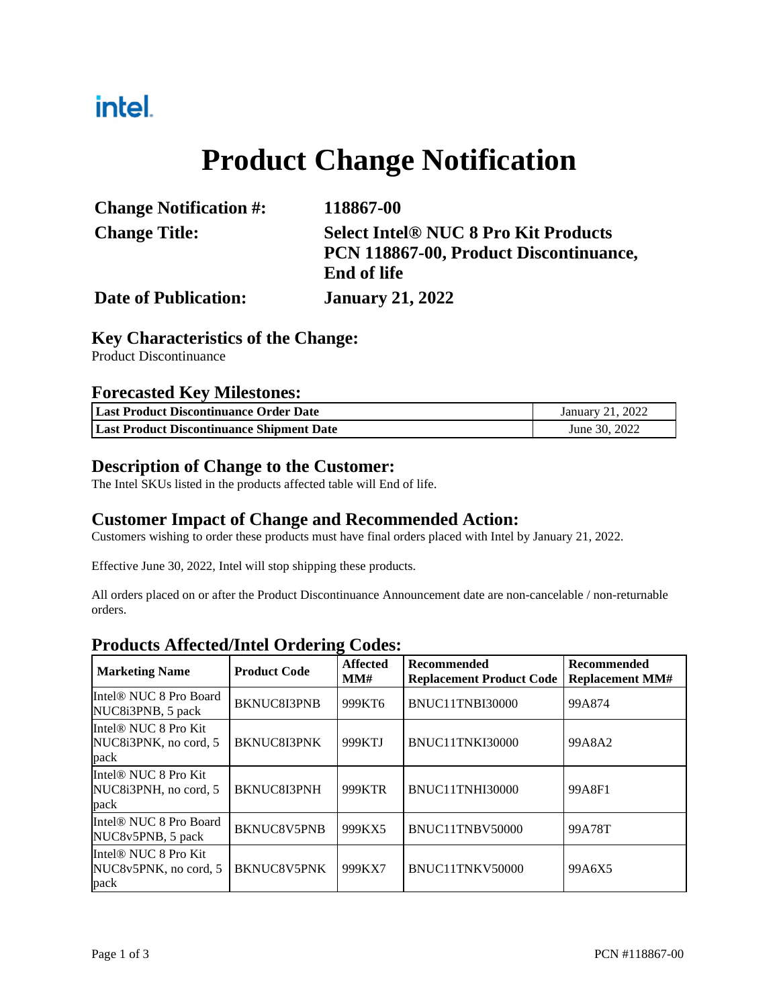## intel.

# **Product Change Notification**

| <b>Change Notification #:</b> | 118867-00                                   |
|-------------------------------|---------------------------------------------|
| <b>Change Title:</b>          | <b>Select Intel® NUC 8 Pro Kit Products</b> |
|                               | PCN 118867-00, Product Discontinuance,      |
|                               | <b>End of life</b>                          |
| <b>Date of Publication:</b>   | <b>January 21, 2022</b>                     |

#### **Key Characteristics of the Change:**

Product Discontinuance

#### **Forecasted Key Milestones:**

| Last Product Discontinuance Order Date    | January 21, 2022 |
|-------------------------------------------|------------------|
| Last Product Discontinuance Shipment Date | June 30, 2022    |

#### **Description of Change to the Customer:**

The Intel SKUs listed in the products affected table will End of life.

#### **Customer Impact of Change and Recommended Action:**

Customers wishing to order these products must have final orders placed with Intel by January 21, 2022.

Effective June 30, 2022, Intel will stop shipping these products.

All orders placed on or after the Product Discontinuance Announcement date are non-cancelable / non-returnable orders.

#### **Products Affected/Intel Ordering Codes:**

| <b>Marketing Name</b>                                             | <b>Product Code</b> | <b>Affected</b><br>MM# | <b>Recommended</b><br><b>Replacement Product Code</b> | <b>Recommended</b><br><b>Replacement MM#</b> |
|-------------------------------------------------------------------|---------------------|------------------------|-------------------------------------------------------|----------------------------------------------|
| Intel <sup>®</sup> NUC 8 Pro Board<br>NUC8i3PNB, 5 pack           | <b>BKNUC8I3PNB</b>  | 999KT6                 | BNUC11TNBI30000                                       | 99A874                                       |
| Intel <sup>®</sup> NUC 8 Pro Kit<br>NUC8i3PNK, no cord, 5<br>pack | <b>BKNUC8I3PNK</b>  | 999KTJ                 | BNUC11TNKI30000                                       | 99A8A2                                       |
| Intel® NUC 8 Pro Kit<br>NUC8i3PNH, no cord, 5<br>pack             | BKNUC8I3PNH         | 999KTR                 | BNUC11TNHI30000                                       | 99A8F1                                       |
| Intel <sup>®</sup> NUC 8 Pro Board<br>NUC8v5PNB, 5 pack           | BKNUC8V5PNB         | 999KX5                 | BNUC11TNBV50000                                       | 99A78T                                       |
| Intel <sup>®</sup> NUC 8 Pro Kit<br>NUC8y5PNK, no cord, 5<br>pack | <b>BKNUC8V5PNK</b>  | 999KX7                 | BNUC11TNKV50000                                       | 99A6X5                                       |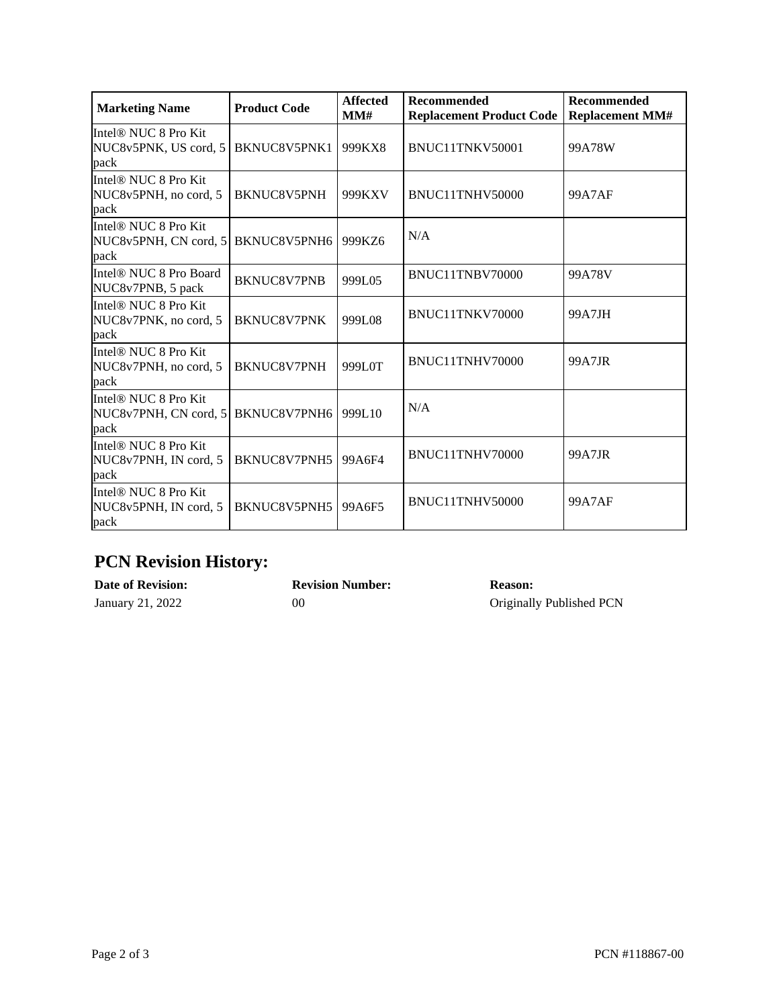| <b>Marketing Name</b>                                             | <b>Product Code</b> | <b>Affected</b><br>MM# | <b>Recommended</b><br><b>Replacement Product Code</b> | <b>Recommended</b><br><b>Replacement MM#</b> |
|-------------------------------------------------------------------|---------------------|------------------------|-------------------------------------------------------|----------------------------------------------|
| Intel® NUC 8 Pro Kit<br>NUC8v5PNK, US cord, 5<br>pack             | BKNUC8V5PNK1        | 999KX8                 | BNUC11TNKV50001                                       | 99A78W                                       |
| Intel® NUC 8 Pro Kit<br>NUC8v5PNH, no cord, 5<br>pack             | BKNUC8V5PNH         | 999KXV                 | BNUC11TNHV50000                                       | 99A7AF                                       |
| Intel <sup>®</sup> NUC 8 Pro Kit<br>NUC8v5PNH, CN cord, 5<br>pack | BKNUC8V5PNH6        | 999KZ6                 | N/A                                                   |                                              |
| Intel <sup>®</sup> NUC 8 Pro Board<br>NUC8v7PNB, 5 pack           | <b>BKNUC8V7PNB</b>  | 999L05                 | BNUC11TNBV70000                                       | 99A78V                                       |
| Intel® NUC 8 Pro Kit<br>NUC8v7PNK, no cord, 5<br>pack             | <b>BKNUC8V7PNK</b>  | 999L08                 | BNUC11TNKV70000                                       | 99A7JH                                       |
| Intel® NUC 8 Pro Kit<br>NUC8v7PNH, no cord, 5<br>pack             | BKNUC8V7PNH         | 999L0T                 | BNUC11TNHV70000                                       | 99A7JR                                       |
| Intel® NUC 8 Pro Kit<br>NUC8v7PNH, CN cord, 5<br>pack             | BKNUC8V7PNH6        | 999L10                 | N/A                                                   |                                              |
| Intel® NUC 8 Pro Kit<br>NUC8v7PNH, IN cord, 5<br>pack             | BKNUC8V7PNH5        | 99A6F4                 | BNUC11TNHV70000                                       | 99A7JR                                       |
| Intel <sup>®</sup> NUC 8 Pro Kit<br>NUC8v5PNH, IN cord, 5<br>pack | BKNUC8V5PNH5        | 99A6F5                 | BNUC11TNHV50000                                       | <b>99A7AF</b>                                |

### **PCN Revision History:**

| <b>Date of Revision:</b> | <b>Revision Number:</b> | <b>Reason:</b>           |
|--------------------------|-------------------------|--------------------------|
| January 21, 2022         | ОC                      | Originally Published PCN |